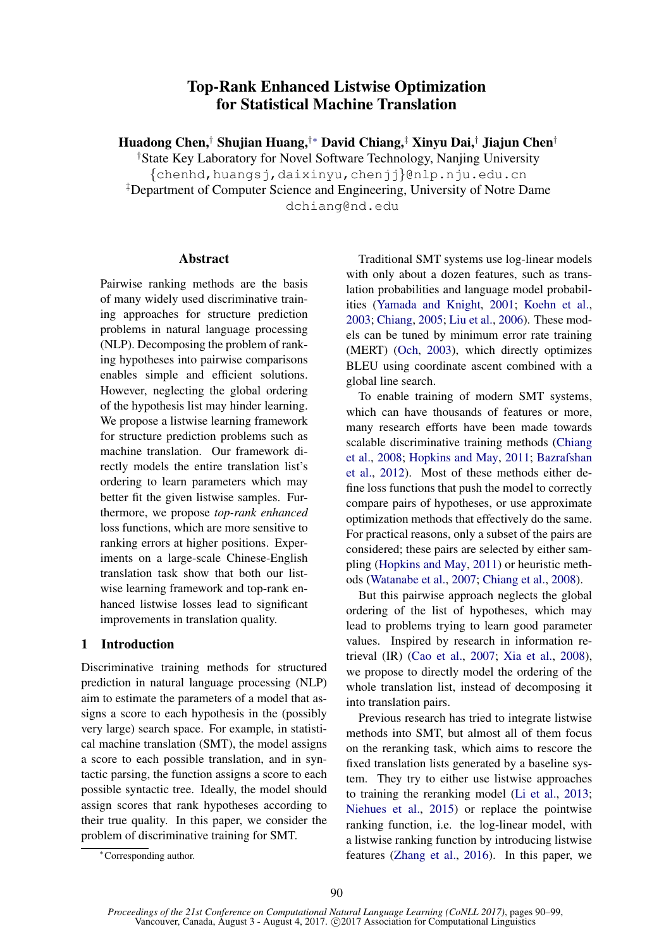# Top-Rank Enhanced Listwise Optimization for Statistical Machine Translation

Huadong Chen,† Shujian Huang,†∗ David Chiang,‡ Xinyu Dai,† Jiajun Chen†

†State Key Laboratory for Novel Software Technology, Nanjing University {chenhd,huangsj,daixinyu,chenjj}@nlp.nju.edu.cn ‡Department of Computer Science and Engineering, University of Notre Dame dchiang@nd.edu

# Abstract

Pairwise ranking methods are the basis of many widely used discriminative training approaches for structure prediction problems in natural language processing (NLP). Decomposing the problem of ranking hypotheses into pairwise comparisons enables simple and efficient solutions. However, neglecting the global ordering of the hypothesis list may hinder learning. We propose a listwise learning framework for structure prediction problems such as machine translation. Our framework directly models the entire translation list's ordering to learn parameters which may better fit the given listwise samples. Furthermore, we propose *top-rank enhanced* loss functions, which are more sensitive to ranking errors at higher positions. Experiments on a large-scale Chinese-English translation task show that both our listwise learning framework and top-rank enhanced listwise losses lead to significant improvements in translation quality.

# 1 Introduction

Discriminative training methods for structured prediction in natural language processing (NLP) aim to estimate the parameters of a model that assigns a score to each hypothesis in the (possibly very large) search space. For example, in statistical machine translation (SMT), the model assigns a score to each possible translation, and in syntactic parsing, the function assigns a score to each possible syntactic tree. Ideally, the model should assign scores that rank hypotheses according to their true quality. In this paper, we consider the problem of discriminative training for SMT.

Traditional SMT systems use log-linear models with only about a dozen features, such as translation probabilities and language model probabilities (Yamada and Knight, 2001; Koehn et al., 2003; Chiang, 2005; Liu et al., 2006). These models can be tuned by minimum error rate training (MERT) (Och, 2003), which directly optimizes BLEU using coordinate ascent combined with a global line search.

To enable training of modern SMT systems, which can have thousands of features or more, many research efforts have been made towards scalable discriminative training methods (Chiang et al., 2008; Hopkins and May, 2011; Bazrafshan et al., 2012). Most of these methods either define loss functions that push the model to correctly compare pairs of hypotheses, or use approximate optimization methods that effectively do the same. For practical reasons, only a subset of the pairs are considered; these pairs are selected by either sampling (Hopkins and May, 2011) or heuristic methods (Watanabe et al., 2007; Chiang et al., 2008).

But this pairwise approach neglects the global ordering of the list of hypotheses, which may lead to problems trying to learn good parameter values. Inspired by research in information retrieval (IR) (Cao et al., 2007; Xia et al., 2008), we propose to directly model the ordering of the whole translation list, instead of decomposing it into translation pairs.

Previous research has tried to integrate listwise methods into SMT, but almost all of them focus on the reranking task, which aims to rescore the fixed translation lists generated by a baseline system. They try to either use listwise approaches to training the reranking model (Li et al., 2013; Niehues et al., 2015) or replace the pointwise ranking function, i.e. the log-linear model, with a listwise ranking function by introducing listwise features (Zhang et al., 2016). In this paper, we

<sup>∗</sup>Corresponding author.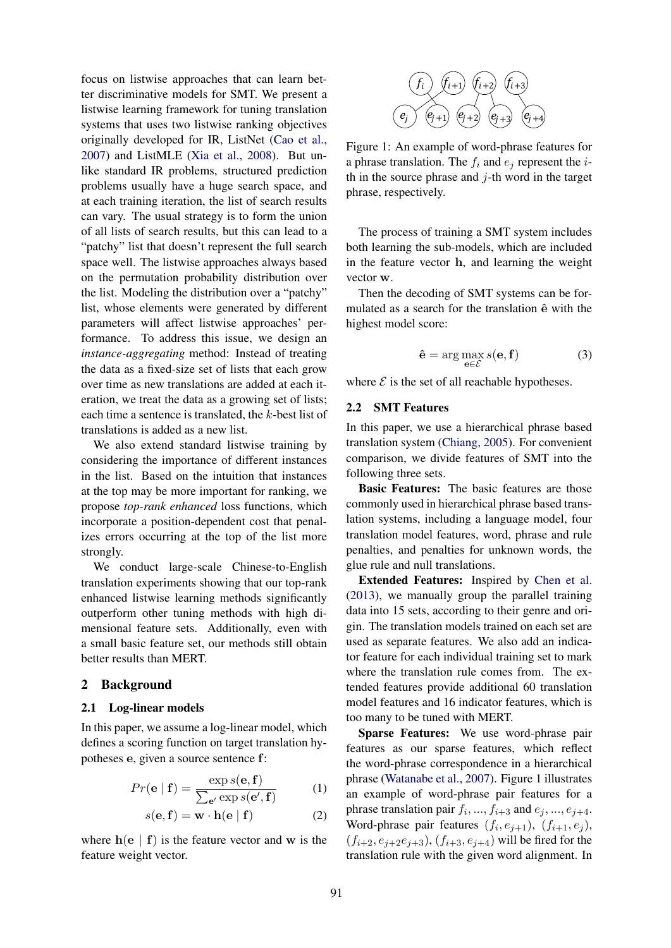focus on listwise approaches that can learn better discriminative models for SMT. We present a listwise learning framework for tuning translation systems that uses two listwise ranking objectives originally developed for IR, ListNet (Cao et al., 2007) and ListMLE (Xia et al., 2008). But unlike standard IR problems, structured prediction problems usually have a huge search space, and at each training iteration, the list of search results can vary. The usual strategy is to form the union of all lists of search results, but this can lead to a "patchy" list that doesn't represent the full search space well. The listwise approaches always based on the permutation probability distribution over the list. Modeling the distribution over a "patchy" list, whose elements were generated by different parameters will affect listwise approaches' performance. To address this issue, we design an *instance-aggregating* method: Instead of treating the data as a fixed-size set of lists that each grow over time as new translations are added at each iteration, we treat the data as a growing set of lists; each time a sentence is translated, the k-best list of translations is added as a new list.

We also extend standard listwise training by considering the importance of different instances in the list. Based on the intuition that instances at the top may be more important for ranking, we propose *top-rank enhanced* loss functions, which incorporate a position-dependent cost that penalizes errors occurring at the top of the list more strongly.

We conduct large-scale Chinese-to-English translation experiments showing that our top-rank enhanced listwise learning methods significantly outperform other tuning methods with high dimensional feature sets. Additionally, even with a small basic feature set, our methods still obtain better results than MERT.

#### 2 Background

#### 2.1 Log-linear models

In this paper, we assume a log-linear model, which defines a scoring function on target translation hypotheses e, given a source sentence f:

$$
Pr(\mathbf{e} | \mathbf{f}) = \frac{\exp s(\mathbf{e}, \mathbf{f})}{\sum_{\mathbf{e}'} \exp s(\mathbf{e}', \mathbf{f})}
$$
(1)

$$
s(\mathbf{e}, \mathbf{f}) = \mathbf{w} \cdot \mathbf{h}(\mathbf{e} \mid \mathbf{f}) \tag{2}
$$

where  $h(e | f)$  is the feature vector and w is the feature weight vector.



Figure 1: An example of word-phrase features for a phrase translation. The  $f_i$  and  $e_j$  represent the *i*th in the source phrase and  $j$ -th word in the target phrase, respectively.

The process of training a SMT system includes both learning the sub-models, which are included in the feature vector h, and learning the weight vector w.

Then the decoding of SMT systems can be formulated as a search for the translation  $\hat{e}$  with the highest model score:

$$
\hat{\mathbf{e}} = \arg \max_{\mathbf{e} \in \mathcal{E}} s(\mathbf{e}, \mathbf{f}) \tag{3}
$$

where  $\mathcal E$  is the set of all reachable hypotheses.

#### 2.2 SMT Features

In this paper, we use a hierarchical phrase based translation system (Chiang, 2005). For convenient comparison, we divide features of SMT into the following three sets.

Basic Features: The basic features are those commonly used in hierarchical phrase based translation systems, including a language model, four translation model features, word, phrase and rule penalties, and penalties for unknown words, the glue rule and null translations.

Extended Features: Inspired by Chen et al. (2013), we manually group the parallel training data into 15 sets, according to their genre and origin. The translation models trained on each set are used as separate features. We also add an indicator feature for each individual training set to mark where the translation rule comes from. The extended features provide additional 60 translation model features and 16 indicator features, which is too many to be tuned with MERT.

Sparse Features: We use word-phrase pair features as our sparse features, which reflect the word-phrase correspondence in a hierarchical phrase (Watanabe et al., 2007). Figure 1 illustrates an example of word-phrase pair features for a phrase translation pair  $f_i, ..., f_{i+3}$  and  $e_j, ..., e_{j+4}$ . Word-phrase pair features  $(f_i, e_{j+1}), (f_{i+1}, e_j)$ ,  $(f_{i+2}, e_{j+2}e_{j+3}), (f_{i+3}, e_{j+4})$  will be fired for the translation rule with the given word alignment. In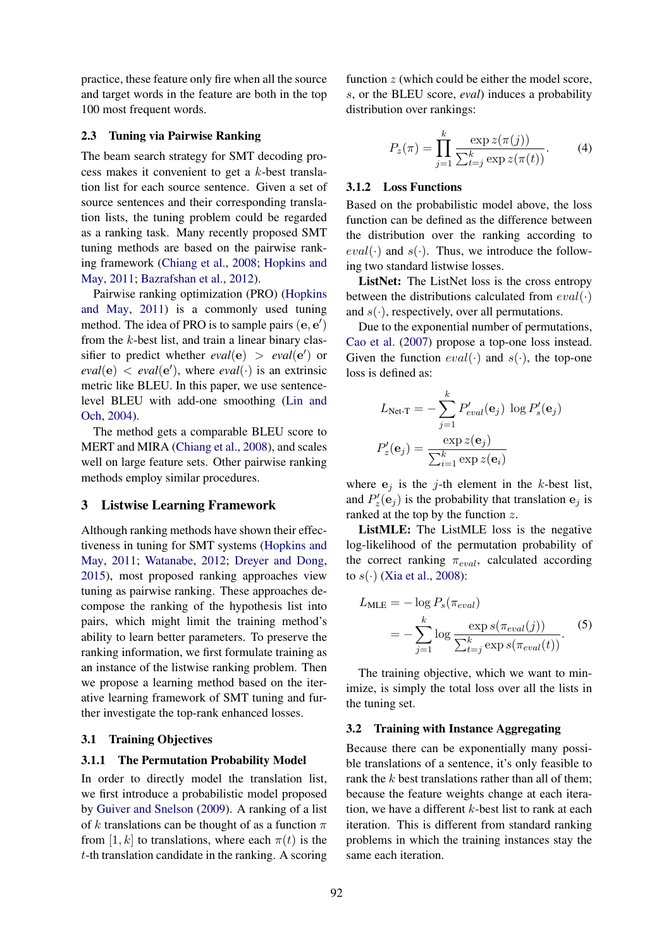practice, these feature only fire when all the source and target words in the feature are both in the top 100 most frequent words.

## 2.3 Tuning via Pairwise Ranking

The beam search strategy for SMT decoding process makes it convenient to get a k-best translation list for each source sentence. Given a set of source sentences and their corresponding translation lists, the tuning problem could be regarded as a ranking task. Many recently proposed SMT tuning methods are based on the pairwise ranking framework (Chiang et al., 2008; Hopkins and May, 2011; Bazrafshan et al., 2012).

Pairwise ranking optimization (PRO) (Hopkins and May, 2011) is a commonly used tuning method. The idea of PRO is to sample pairs  $(e, e')$ from the k-best list, and train a linear binary classifier to predict whether  $eval(e) > eval(e')$  or  $eval(e) < eval(e')$ , where  $eval(\cdot)$  is an extrinsic metric like BLEU. In this paper, we use sentencelevel BLEU with add-one smoothing (Lin and Och, 2004).

The method gets a comparable BLEU score to MERT and MIRA (Chiang et al., 2008), and scales well on large feature sets. Other pairwise ranking methods employ similar procedures.

## 3 Listwise Learning Framework

Although ranking methods have shown their effectiveness in tuning for SMT systems (Hopkins and May, 2011; Watanabe, 2012; Dreyer and Dong, 2015), most proposed ranking approaches view tuning as pairwise ranking. These approaches decompose the ranking of the hypothesis list into pairs, which might limit the training method's ability to learn better parameters. To preserve the ranking information, we first formulate training as an instance of the listwise ranking problem. Then we propose a learning method based on the iterative learning framework of SMT tuning and further investigate the top-rank enhanced losses.

## 3.1 Training Objectives

#### 3.1.1 The Permutation Probability Model

In order to directly model the translation list, we first introduce a probabilistic model proposed by Guiver and Snelson (2009). A ranking of a list of k translations can be thought of as a function  $\pi$ from [1, k] to translations, where each  $\pi(t)$  is the t-th translation candidate in the ranking. A scoring

function  $z$  (which could be either the model score, s, or the BLEU score, *eval*) induces a probability distribution over rankings:

$$
P_z(\pi) = \prod_{j=1}^k \frac{\exp z(\pi(j))}{\sum_{t=j}^k \exp z(\pi(t))}.
$$
 (4)

#### 3.1.2 Loss Functions

Based on the probabilistic model above, the loss function can be defined as the difference between the distribution over the ranking according to  $eval(\cdot)$  and  $s(\cdot)$ . Thus, we introduce the following two standard listwise losses.

ListNet: The ListNet loss is the cross entropy between the distributions calculated from  $eval(\cdot)$ and  $s(\cdot)$ , respectively, over all permutations.

Due to the exponential number of permutations, Cao et al. (2007) propose a top-one loss instead. Given the function  $eval(\cdot)$  and  $s(\cdot)$ , the top-one loss is defined as:

$$
L_{\text{Net-T}} = -\sum_{j=1}^{k} P'_{eval}(\mathbf{e}_j) \log P'_{s}(\mathbf{e}_j)
$$

$$
P'_{z}(\mathbf{e}_j) = \frac{\exp z(\mathbf{e}_j)}{\sum_{i=1}^{k} \exp z(\mathbf{e}_i)}
$$

where  $e_i$  is the j-th element in the k-best list, and  $P'_z(\mathbf{e}_j)$  is the probability that translation  $\mathbf{e}_j$  is ranked at the top by the function  $z$ .

ListMLE: The ListMLE loss is the negative log-likelihood of the permutation probability of the correct ranking  $\pi_{eval}$ , calculated according to  $s(\cdot)$  (Xia et al., 2008):

$$
L_{MLE} = -\log P_s(\pi_{eval})
$$
  
= 
$$
-\sum_{j=1}^{k} \log \frac{\exp s(\pi_{eval}(j))}{\sum_{t=j}^{k} \exp s(\pi_{eval}(t))}.
$$
 (5)

The training objective, which we want to minimize, is simply the total loss over all the lists in the tuning set.

#### 3.2 Training with Instance Aggregating

Because there can be exponentially many possible translations of a sentence, it's only feasible to rank the  $k$  best translations rather than all of them; because the feature weights change at each iteration, we have a different  $k$ -best list to rank at each iteration. This is different from standard ranking problems in which the training instances stay the same each iteration.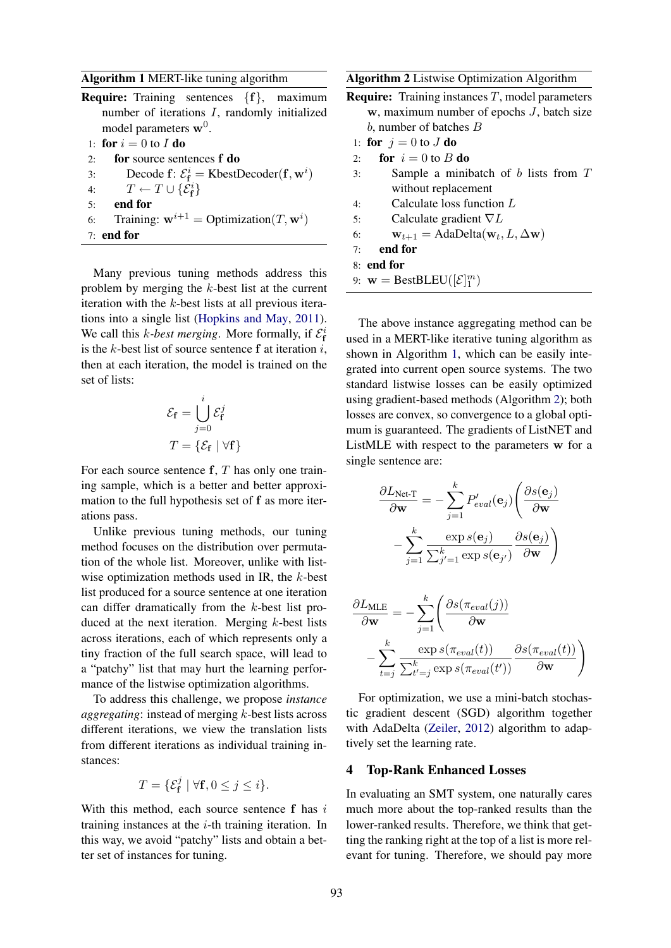#### Algorithm 1 MERT-like tuning algorithm

Require: Training sentences {f}, maximum number of iterations I, randomly initialized model parameters  $w^0$ .

```
1: for i = 0 to I do
```
- 2: for source sentences f do
- 3: Decode f:  $\mathcal{E}_{\mathbf{f}}^i$  = KbestDecoder(f, w<sup>i</sup>)
- 4:  $T \leftarrow T \cup \{\mathcal{E}_{f}^{i}\}$
- 5: end for
- 6: Training:  $\mathbf{w}^{i+1} = \text{Optimization}(T, \mathbf{w}^i)$
- 7: end for

Many previous tuning methods address this problem by merging the k-best list at the current iteration with the  $k$ -best lists at all previous iterations into a single list (Hopkins and May, 2011). We call this *k*-best merging. More formally, if  $\mathcal{E}_{f}^{i}$ is the k-best list of source sentence  $f$  at iteration i, then at each iteration, the model is trained on the set of lists:

$$
\mathcal{E}_{\mathbf{f}} = \bigcup_{j=0}^{i} \mathcal{E}_{\mathbf{f}}^{j}
$$

$$
T = \{ \mathcal{E}_{\mathbf{f}} \mid \forall \mathbf{f} \}
$$

For each source sentence  $f, T$  has only one training sample, which is a better and better approximation to the full hypothesis set of f as more iterations pass.

Unlike previous tuning methods, our tuning method focuses on the distribution over permutation of the whole list. Moreover, unlike with listwise optimization methods used in IR, the k-best list produced for a source sentence at one iteration can differ dramatically from the k-best list produced at the next iteration. Merging k-best lists across iterations, each of which represents only a tiny fraction of the full search space, will lead to a "patchy" list that may hurt the learning performance of the listwise optimization algorithms.

To address this challenge, we propose *instance aggregating*: instead of merging k-best lists across different iterations, we view the translation lists from different iterations as individual training instances:

$$
T = \{ \mathcal{E}_{\mathbf{f}}^j \mid \forall \mathbf{f}, 0 \le j \le i \}.
$$

With this method, each source sentence f has i training instances at the  $i$ -th training iteration. In this way, we avoid "patchy" lists and obtain a better set of instances for tuning.

#### Algorithm 2 Listwise Optimization Algorithm

- **Require:** Training instances  $T$ , model parameters  $w$ , maximum number of epochs  $J$ , batch size b, number of batches B
- 1: for  $j = 0$  to J do
- 2: for  $i = 0$  to B do
- 3: Sample a minibatch of b lists from T without replacement
- 4: Calculate loss function L
- 5: Calculate gradient  $\nabla L$
- 6:  $\mathbf{w}_{t+1} = \text{AdaDelta}(\mathbf{w}_t, L, \Delta \mathbf{w})$
- 7: end for
- 8: end for
- 9:  $\mathbf{w} = \text{BestBLEU}([\mathcal{E}]_1^m)$

The above instance aggregating method can be used in a MERT-like iterative tuning algorithm as shown in Algorithm 1, which can be easily integrated into current open source systems. The two standard listwise losses can be easily optimized using gradient-based methods (Algorithm 2); both losses are convex, so convergence to a global optimum is guaranteed. The gradients of ListNET and ListMLE with respect to the parameters w for a single sentence are:

$$
\frac{\partial L_{\text{Net-}T}}{\partial \mathbf{w}} = -\sum_{j=1}^{k} P'_{eval}(\mathbf{e}_j) \left( \frac{\partial s(\mathbf{e}_j)}{\partial \mathbf{w}} - \sum_{j=1}^{k} \frac{\exp s(\mathbf{e}_j)}{\sum_{j'=1}^{k} \exp s(\mathbf{e}_{j'})} \frac{\partial s(\mathbf{e}_j)}{\partial \mathbf{w}} \right)
$$

$$
\frac{\partial L_{\text{MLE}}}{\partial \mathbf{w}} = -\sum_{j=1}^{k} \left( \frac{\partial s(\pi_{eval}(j))}{\partial \mathbf{w}} - \sum_{t=j}^{k} \frac{\exp s(\pi_{eval}(t))}{\sum_{t'=j}^{k} \exp s(\pi_{eval}(t'))} \frac{\partial s(\pi_{eval}(t))}{\partial \mathbf{w}} \right)
$$

For optimization, we use a mini-batch stochastic gradient descent (SGD) algorithm together with AdaDelta (Zeiler, 2012) algorithm to adaptively set the learning rate.

#### 4 Top-Rank Enhanced Losses

In evaluating an SMT system, one naturally cares much more about the top-ranked results than the lower-ranked results. Therefore, we think that getting the ranking right at the top of a list is more relevant for tuning. Therefore, we should pay more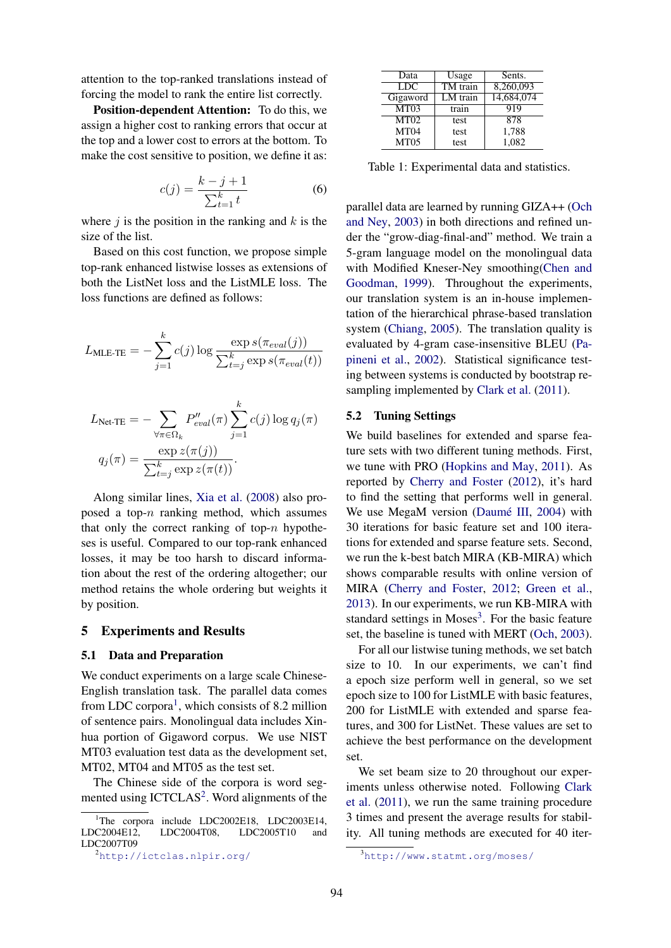attention to the top-ranked translations instead of forcing the model to rank the entire list correctly.

Position-dependent Attention: To do this, we assign a higher cost to ranking errors that occur at the top and a lower cost to errors at the bottom. To make the cost sensitive to position, we define it as:

$$
c(j) = \frac{k - j + 1}{\sum_{t=1}^{k} t}
$$
 (6)

where  $j$  is the position in the ranking and  $k$  is the size of the list.

Based on this cost function, we propose simple top-rank enhanced listwise losses as extensions of both the ListNet loss and the ListMLE loss. The loss functions are defined as follows:

$$
L_{\text{MLE-TE}} = -\sum_{j=1}^{k} c(j) \log \frac{\exp s(\pi_{eval}(j))}{\sum_{t=j}^{k} \exp s(\pi_{eval}(t))}
$$

$$
L_{\text{Net-TE}} = -\sum_{\forall \pi \in \Omega_k} P_{eval}''(\pi) \sum_{j=1}^k c(j) \log q_j(\pi)
$$

$$
q_j(\pi) = \frac{\exp z(\pi(j))}{\sum_{t=j}^k \exp z(\pi(t))}.
$$

Along similar lines, Xia et al. (2008) also proposed a top- $n$  ranking method, which assumes that only the correct ranking of top- $n$  hypotheses is useful. Compared to our top-rank enhanced losses, it may be too harsh to discard information about the rest of the ordering altogether; our method retains the whole ordering but weights it by position.

#### 5 Experiments and Results

#### 5.1 Data and Preparation

We conduct experiments on a large scale Chinese-English translation task. The parallel data comes from LDC corpora<sup>1</sup>, which consists of 8.2 million of sentence pairs. Monolingual data includes Xinhua portion of Gigaword corpus. We use NIST MT03 evaluation test data as the development set, MT02, MT04 and MT05 as the test set.

The Chinese side of the corpora is word segmented using ICTCLAS<sup>2</sup>. Word alignments of the

| Data             | Usage      | Sents.     |
|------------------|------------|------------|
| <b>LDC</b>       | TM train   | 8,260,093  |
| Gigaword         | $LM$ train | 14,684,074 |
| MT03             | train      | 919        |
| MT02             | test       | 878        |
| MT <sub>04</sub> | test       | 1,788      |
| MT <sub>05</sub> | test       | 1.082      |

Table 1: Experimental data and statistics.

parallel data are learned by running GIZA++ (Och and Ney, 2003) in both directions and refined under the "grow-diag-final-and" method. We train a 5-gram language model on the monolingual data with Modified Kneser-Ney smoothing(Chen and Goodman, 1999). Throughout the experiments, our translation system is an in-house implementation of the hierarchical phrase-based translation system (Chiang, 2005). The translation quality is evaluated by 4-gram case-insensitive BLEU (Papineni et al., 2002). Statistical significance testing between systems is conducted by bootstrap resampling implemented by Clark et al. (2011).

## 5.2 Tuning Settings

We build baselines for extended and sparse feature sets with two different tuning methods. First, we tune with PRO (Hopkins and May, 2011). As reported by Cherry and Foster (2012), it's hard to find the setting that performs well in general. We use MegaM version (Daumé III, 2004) with 30 iterations for basic feature set and 100 iterations for extended and sparse feature sets. Second, we run the k-best batch MIRA (KB-MIRA) which shows comparable results with online version of MIRA (Cherry and Foster, 2012; Green et al., 2013). In our experiments, we run KB-MIRA with standard settings in  $Moses<sup>3</sup>$ . For the basic feature set, the baseline is tuned with MERT (Och, 2003).

For all our listwise tuning methods, we set batch size to 10. In our experiments, we can't find a epoch size perform well in general, so we set epoch size to 100 for ListMLE with basic features, 200 for ListMLE with extended and sparse features, and 300 for ListNet. These values are set to achieve the best performance on the development set.

We set beam size to 20 throughout our experiments unless otherwise noted. Following Clark et al. (2011), we run the same training procedure 3 times and present the average results for stability. All tuning methods are executed for 40 iter-

<sup>&</sup>lt;sup>1</sup>The corpora include LDC2002E18, LDC2003E14,<br>LDC2004E12, LDC2004T08, LDC2005T10 and  $LDC2005T10$  and LDC2007T09

<sup>2</sup>http://ictclas.nlpir.org/

<sup>3</sup>http://www.statmt.org/moses/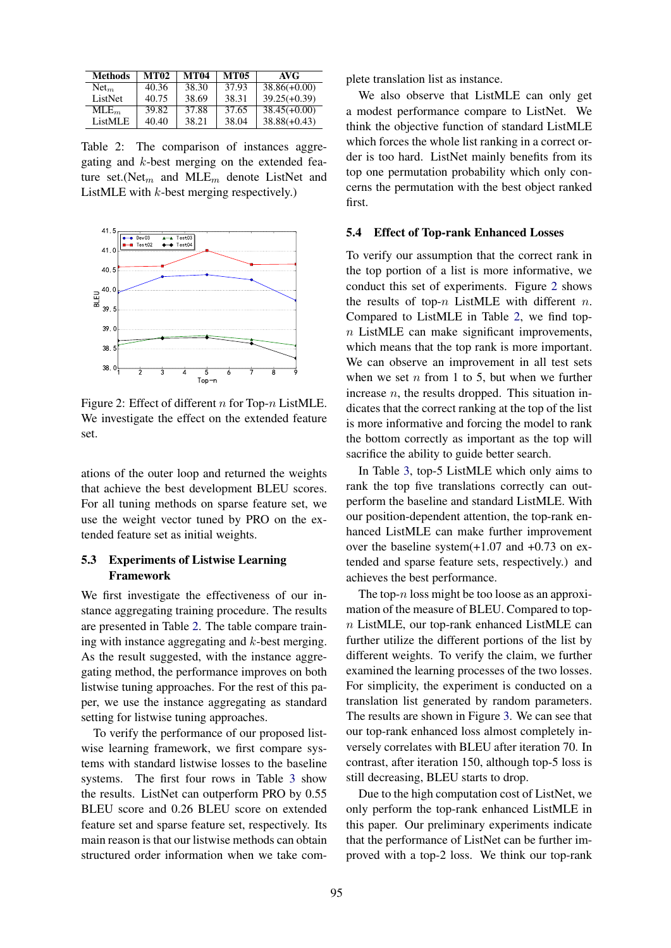| <b>Methods</b>   | <b>MT02</b> | <b>MT04</b> | <b>MT05</b> | AVG            |
|------------------|-------------|-------------|-------------|----------------|
| Net <sub>m</sub> | 40.36       | 38.30       | 37.93       | $38.86(+0.00)$ |
| ListNet          | 40.75       | 38.69       | 38.31       | $39.25(+0.39)$ |
| $MLE_m$          | 39.82       | 37.88       | 37.65       | $38.45(+0.00)$ |
| ListMLE          | 40.40       | 38.21       | 38.04       | $38.88(+0.43)$ |

Table 2: The comparison of instances aggregating and k-best merging on the extended feature set.(Net<sub>m</sub> and MLE<sub>m</sub> denote ListNet and ListMLE with k-best merging respectively.)



Figure 2: Effect of different n for Top- $n$  ListMLE. We investigate the effect on the extended feature set.

ations of the outer loop and returned the weights that achieve the best development BLEU scores. For all tuning methods on sparse feature set, we use the weight vector tuned by PRO on the extended feature set as initial weights.

# 5.3 Experiments of Listwise Learning Framework

We first investigate the effectiveness of our instance aggregating training procedure. The results are presented in Table 2. The table compare training with instance aggregating and  $k$ -best merging. As the result suggested, with the instance aggregating method, the performance improves on both listwise tuning approaches. For the rest of this paper, we use the instance aggregating as standard setting for listwise tuning approaches.

To verify the performance of our proposed listwise learning framework, we first compare systems with standard listwise losses to the baseline systems. The first four rows in Table 3 show the results. ListNet can outperform PRO by 0.55 BLEU score and 0.26 BLEU score on extended feature set and sparse feature set, respectively. Its main reason is that our listwise methods can obtain structured order information when we take complete translation list as instance.

We also observe that ListMLE can only get a modest performance compare to ListNet. We think the objective function of standard ListMLE which forces the whole list ranking in a correct order is too hard. ListNet mainly benefits from its top one permutation probability which only concerns the permutation with the best object ranked first.

#### 5.4 Effect of Top-rank Enhanced Losses

To verify our assumption that the correct rank in the top portion of a list is more informative, we conduct this set of experiments. Figure 2 shows the results of top- $n$  ListMLE with different  $n$ . Compared to ListMLE in Table 2, we find top $n$  ListMLE can make significant improvements, which means that the top rank is more important. We can observe an improvement in all test sets when we set  $n$  from 1 to 5, but when we further increase  $n$ , the results dropped. This situation indicates that the correct ranking at the top of the list is more informative and forcing the model to rank the bottom correctly as important as the top will sacrifice the ability to guide better search.

In Table 3, top-5 ListMLE which only aims to rank the top five translations correctly can outperform the baseline and standard ListMLE. With our position-dependent attention, the top-rank enhanced ListMLE can make further improvement over the baseline system(+1.07 and +0.73 on extended and sparse feature sets, respectively.) and achieves the best performance.

The top- $n$  loss might be too loose as an approximation of the measure of BLEU. Compared to top $n$  ListMLE, our top-rank enhanced ListMLE can further utilize the different portions of the list by different weights. To verify the claim, we further examined the learning processes of the two losses. For simplicity, the experiment is conducted on a translation list generated by random parameters. The results are shown in Figure 3. We can see that our top-rank enhanced loss almost completely inversely correlates with BLEU after iteration 70. In contrast, after iteration 150, although top-5 loss is still decreasing, BLEU starts to drop.

Due to the high computation cost of ListNet, we only perform the top-rank enhanced ListMLE in this paper. Our preliminary experiments indicate that the performance of ListNet can be further improved with a top-2 loss. We think our top-rank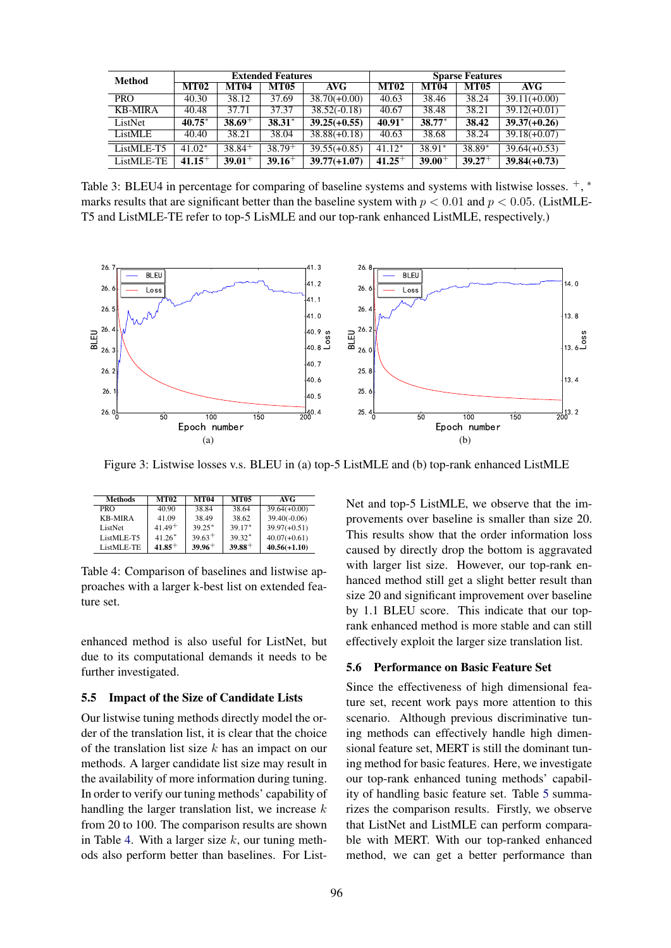| <b>Method</b>  | <b>Extended Features</b> |             |             | <b>Sparse Features</b> |             |             |             |                |
|----------------|--------------------------|-------------|-------------|------------------------|-------------|-------------|-------------|----------------|
|                | <b>MT02</b>              | <b>MT04</b> | <b>MT05</b> | AVG                    | <b>MT02</b> | <b>MT04</b> | <b>MT05</b> | AVG            |
| <b>PRO</b>     | 40.30                    | 38.12       | 37.69       | $38.70(+0.00)$         | 40.63       | 38.46       | 38.24       | $39.11(+0.00)$ |
| <b>KB-MIRA</b> | 40.48                    | 37.71       | 37.37       | $38.52(-0.18)$         | 40.67       | 38.48       | 38.21       | $39.12(+0.01)$ |
| ListNet        | $40.75*$                 | $38.69+$    | $38.31*$    | $39.25(+0.55)$         | $40.91*$    | 38.77*      | 38.42       | $39.37(+0.26)$ |
| ListMLE        | 40.40                    | 38.21       | 38.04       | $38.88(+0.18)$         | 40.63       | 38.68       | 38.24       | $39.18(+0.07)$ |
| ListMLE-T5     | $41.02*$                 | $38.84^+$   | $38.79^{+}$ | $39.55(+0.85)$         | $41.12*$    | 38.91*      | 38.89*      | $39.64(+0.53)$ |
| ListMLE-TE     | $41.15+$                 | $39.01+$    | $39.16^+$   | $39.77(+1.07)$         | $41.25+$    | $39.00^+$   | $39.27^+$   | $39.84(+0.73)$ |

Table 3: BLEU4 in percentage for comparing of baseline systems and systems with listwise losses.  $+,$ \* marks results that are significant better than the baseline system with  $p < 0.01$  and  $p < 0.05$ . (ListMLE-T5 and ListMLE-TE refer to top-5 LisMLE and our top-rank enhanced ListMLE, respectively.)



Figure 3: Listwise losses v.s. BLEU in (a) top-5 ListMLE and (b) top-rank enhanced ListMLE

| <b>Methods</b> | <b>MT02</b> | <b>MT04</b> | <b>MT05</b> | AVG            |
|----------------|-------------|-------------|-------------|----------------|
| PRO            | 40.90       | 38.84       | 38.64       | $39.64(+0.00)$ |
| <b>KB-MIRA</b> | 41.09       | 38.49       | 38.62       | $39.40(-0.06)$ |
| ListNet        | $41.49+$    | $39.25*$    | $39.17*$    | $39.97(+0.51)$ |
| ListMLE-T5     | $41.26*$    | $39.63+$    | $39.32*$    | $40.07(+0.61)$ |
| ListMLE-TE     | $41.85+$    | $39.96+$    | $39.88^+$   | $40.56(+1.10)$ |

Table 4: Comparison of baselines and listwise approaches with a larger k-best list on extended feature set.

enhanced method is also useful for ListNet, but due to its computational demands it needs to be further investigated.

## 5.5 Impact of the Size of Candidate Lists

Our listwise tuning methods directly model the order of the translation list, it is clear that the choice of the translation list size  $k$  has an impact on our methods. A larger candidate list size may result in the availability of more information during tuning. In order to verify our tuning methods' capability of handling the larger translation list, we increase  $k$ from 20 to 100. The comparison results are shown in Table 4. With a larger size  $k$ , our tuning methods also perform better than baselines. For ListNet and top-5 ListMLE, we observe that the improvements over baseline is smaller than size 20. This results show that the order information loss caused by directly drop the bottom is aggravated with larger list size. However, our top-rank enhanced method still get a slight better result than size 20 and significant improvement over baseline by 1.1 BLEU score. This indicate that our toprank enhanced method is more stable and can still effectively exploit the larger size translation list.

## 5.6 Performance on Basic Feature Set

Since the effectiveness of high dimensional feature set, recent work pays more attention to this scenario. Although previous discriminative tuning methods can effectively handle high dimensional feature set, MERT is still the dominant tuning method for basic features. Here, we investigate our top-rank enhanced tuning methods' capability of handling basic feature set. Table 5 summarizes the comparison results. Firstly, we observe that ListNet and ListMLE can perform comparable with MERT. With our top-ranked enhanced method, we can get a better performance than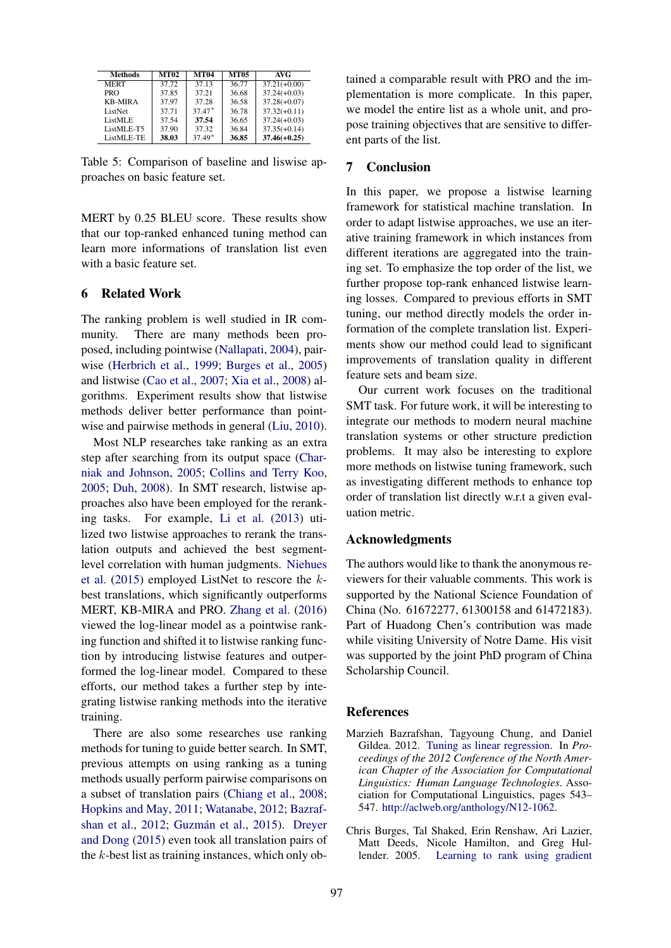| <b>Methods</b> | <b>MT02</b> | <b>MT04</b> | <b>MT05</b> | AVG            |
|----------------|-------------|-------------|-------------|----------------|
| <b>MERT</b>    | 37.72       | 37.13       | 36.77       | $37.21(+0.00)$ |
| <b>PRO</b>     | 37.85       | 37.21       | 36.68       | $37.24(+0.03)$ |
| <b>KB-MIRA</b> | 37.97       | 37.28       | 36.58       | $37.28(+0.07)$ |
| ListNet        | 37.71       | $37.47*$    | 36.78       | $37.32(+0.11)$ |
| ListMLE        | 37.54       | 37.54       | 36.65       | $37.24(+0.03)$ |
| ListMLE-T5     | 37.90       | 37.32       | 36.84       | $37.35(+0.14)$ |
| ListMLE-TE     | 38.03       | $37.49*$    | 36.85       | $37.46(+0.25)$ |

Table 5: Comparison of baseline and liswise approaches on basic feature set.

MERT by 0.25 BLEU score. These results show that our top-ranked enhanced tuning method can learn more informations of translation list even with a basic feature set.

# 6 Related Work

The ranking problem is well studied in IR community. There are many methods been proposed, including pointwise (Nallapati, 2004), pairwise (Herbrich et al., 1999; Burges et al., 2005) and listwise (Cao et al., 2007; Xia et al., 2008) algorithms. Experiment results show that listwise methods deliver better performance than pointwise and pairwise methods in general (Liu, 2010).

Most NLP researches take ranking as an extra step after searching from its output space (Charniak and Johnson, 2005; Collins and Terry Koo, 2005; Duh, 2008). In SMT research, listwise approaches also have been employed for the reranking tasks. For example, Li et al. (2013) utilized two listwise approaches to rerank the translation outputs and achieved the best segmentlevel correlation with human judgments. Niehues et al. (2015) employed ListNet to rescore the kbest translations, which significantly outperforms MERT, KB-MIRA and PRO. Zhang et al. (2016) viewed the log-linear model as a pointwise ranking function and shifted it to listwise ranking function by introducing listwise features and outperformed the log-linear model. Compared to these efforts, our method takes a further step by integrating listwise ranking methods into the iterative training.

There are also some researches use ranking methods for tuning to guide better search. In SMT, previous attempts on using ranking as a tuning methods usually perform pairwise comparisons on a subset of translation pairs (Chiang et al., 2008; Hopkins and May, 2011; Watanabe, 2012; Bazrafshan et al., 2012; Guzmán et al., 2015). Dreyer and Dong (2015) even took all translation pairs of the  $k$ -best list as training instances, which only obtained a comparable result with PRO and the implementation is more complicate. In this paper, we model the entire list as a whole unit, and propose training objectives that are sensitive to different parts of the list.

# 7 Conclusion

In this paper, we propose a listwise learning framework for statistical machine translation. In order to adapt listwise approaches, we use an iterative training framework in which instances from different iterations are aggregated into the training set. To emphasize the top order of the list, we further propose top-rank enhanced listwise learning losses. Compared to previous efforts in SMT tuning, our method directly models the order information of the complete translation list. Experiments show our method could lead to significant improvements of translation quality in different feature sets and beam size.

Our current work focuses on the traditional SMT task. For future work, it will be interesting to integrate our methods to modern neural machine translation systems or other structure prediction problems. It may also be interesting to explore more methods on listwise tuning framework, such as investigating different methods to enhance top order of translation list directly w.r.t a given evaluation metric.

#### Acknowledgments

The authors would like to thank the anonymous reviewers for their valuable comments. This work is supported by the National Science Foundation of China (No. 61672277, 61300158 and 61472183). Part of Huadong Chen's contribution was made while visiting University of Notre Dame. His visit was supported by the joint PhD program of China Scholarship Council.

#### References

- Marzieh Bazrafshan, Tagyoung Chung, and Daniel Gildea. 2012. Tuning as linear regression. In *Proceedings of the 2012 Conference of the North American Chapter of the Association for Computational Linguistics: Human Language Technologies*. Association for Computational Linguistics, pages 543– 547. http://aclweb.org/anthology/N12-1062.
- Chris Burges, Tal Shaked, Erin Renshaw, Ari Lazier, Matt Deeds, Nicole Hamilton, and Greg Hullender. 2005. Learning to rank using gradient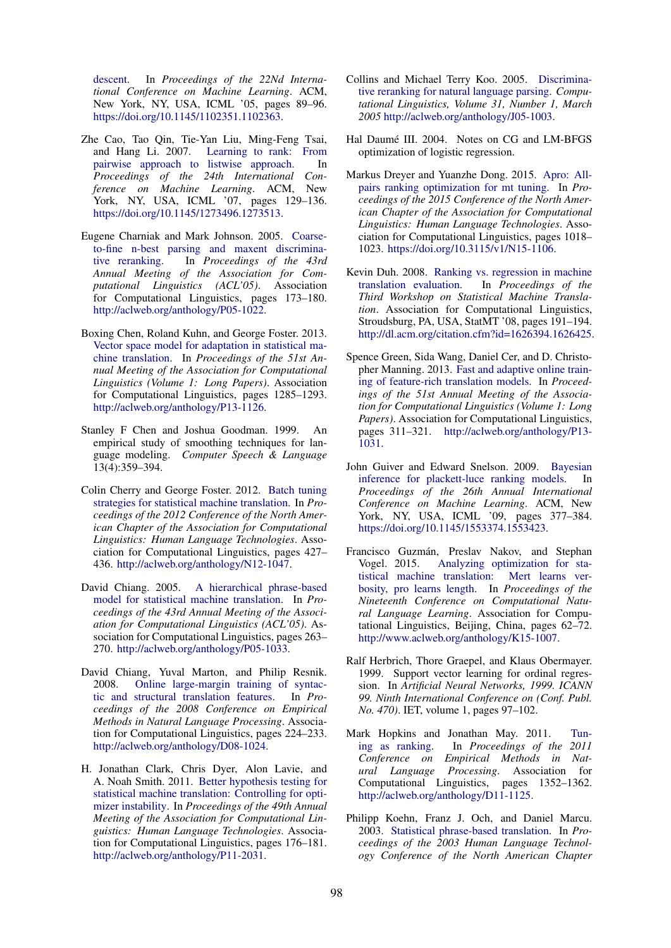descent. In *Proceedings of the 22Nd International Conference on Machine Learning*. ACM, New York, NY, USA, ICML '05, pages 89–96. https://doi.org/10.1145/1102351.1102363.

- Zhe Cao, Tao Qin, Tie-Yan Liu, Ming-Feng Tsai, and Hang Li. 2007. Learning to rank: From pairwise approach to listwise approach. In *Proceedings of the 24th International Conference on Machine Learning*. ACM, New York, NY, USA, ICML '07, pages 129–136. https://doi.org/10.1145/1273496.1273513.
- Eugene Charniak and Mark Johnson. 2005. Coarseto-fine n-best parsing and maxent discriminative reranking. In *Proceedings of the 43rd Annual Meeting of the Association for Computational Linguistics (ACL'05)*. Association for Computational Linguistics, pages 173–180. http://aclweb.org/anthology/P05-1022.
- Boxing Chen, Roland Kuhn, and George Foster. 2013. Vector space model for adaptation in statistical machine translation. In *Proceedings of the 51st Annual Meeting of the Association for Computational Linguistics (Volume 1: Long Papers)*. Association for Computational Linguistics, pages 1285–1293. http://aclweb.org/anthology/P13-1126.
- Stanley F Chen and Joshua Goodman. 1999. An empirical study of smoothing techniques for language modeling. *Computer Speech & Language* 13(4):359–394.
- Colin Cherry and George Foster. 2012. Batch tuning strategies for statistical machine translation. In *Proceedings of the 2012 Conference of the North American Chapter of the Association for Computational Linguistics: Human Language Technologies*. Association for Computational Linguistics, pages 427– 436. http://aclweb.org/anthology/N12-1047.
- David Chiang. 2005. A hierarchical phrase-based model for statistical machine translation. In *Proceedings of the 43rd Annual Meeting of the Association for Computational Linguistics (ACL'05)*. Association for Computational Linguistics, pages 263– 270. http://aclweb.org/anthology/P05-1033.
- David Chiang, Yuval Marton, and Philip Resnik. 2008. Online large-margin training of syntactic and structural translation features. In *Proceedings of the 2008 Conference on Empirical Methods in Natural Language Processing*. Association for Computational Linguistics, pages 224–233. http://aclweb.org/anthology/D08-1024.
- H. Jonathan Clark, Chris Dyer, Alon Lavie, and A. Noah Smith. 2011. Better hypothesis testing for statistical machine translation: Controlling for optimizer instability. In *Proceedings of the 49th Annual Meeting of the Association for Computational Linguistics: Human Language Technologies*. Association for Computational Linguistics, pages 176–181. http://aclweb.org/anthology/P11-2031.
- Collins and Michael Terry Koo. 2005. Discriminative reranking for natural language parsing. *Computational Linguistics, Volume 31, Number 1, March 2005* http://aclweb.org/anthology/J05-1003.
- Hal Daumé III. 2004. Notes on CG and LM-BFGS optimization of logistic regression.
- Markus Dreyer and Yuanzhe Dong. 2015. Apro: Allpairs ranking optimization for mt tuning. In *Proceedings of the 2015 Conference of the North American Chapter of the Association for Computational Linguistics: Human Language Technologies*. Association for Computational Linguistics, pages 1018– 1023. https://doi.org/10.3115/v1/N15-1106.
- Kevin Duh. 2008. Ranking vs. regression in machine translation evaluation. In *Proceedings of the Third Workshop on Statistical Machine Translation*. Association for Computational Linguistics, Stroudsburg, PA, USA, StatMT '08, pages 191–194. http://dl.acm.org/citation.cfm?id=1626394.1626425.
- Spence Green, Sida Wang, Daniel Cer, and D. Christopher Manning. 2013. Fast and adaptive online training of feature-rich translation models. In *Proceedings of the 51st Annual Meeting of the Association for Computational Linguistics (Volume 1: Long Papers)*. Association for Computational Linguistics, pages 311–321. http://aclweb.org/anthology/P13- 1031.
- John Guiver and Edward Snelson. 2009. Bayesian inference for plackett-luce ranking models. In *Proceedings of the 26th Annual International Conference on Machine Learning*. ACM, New York, NY, USA, ICML '09, pages 377–384. https://doi.org/10.1145/1553374.1553423.
- Francisco Guzmán, Preslav Nakov, and Stephan Vogel. 2015. Analyzing optimization for statistical machine translation: Mert learns verbosity, pro learns length. In *Proceedings of the Nineteenth Conference on Computational Natural Language Learning*. Association for Computational Linguistics, Beijing, China, pages 62–72. http://www.aclweb.org/anthology/K15-1007.
- Ralf Herbrich, Thore Graepel, and Klaus Obermayer. 1999. Support vector learning for ordinal regression. In *Artificial Neural Networks, 1999. ICANN 99. Ninth International Conference on (Conf. Publ. No. 470)*. IET, volume 1, pages 97–102.
- Mark Hopkins and Jonathan May. 2011. Tuning as ranking. In *Proceedings of the 2011 Conference on Empirical Methods in Natural Language Processing*. Association for Computational Linguistics, pages 1352–1362. http://aclweb.org/anthology/D11-1125.
- Philipp Koehn, Franz J. Och, and Daniel Marcu. 2003. Statistical phrase-based translation. In *Proceedings of the 2003 Human Language Technology Conference of the North American Chapter*